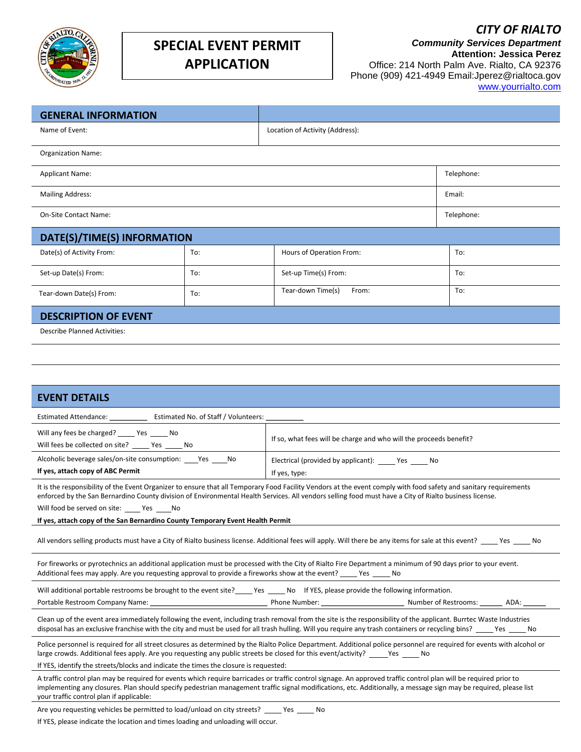

## **SPECIAL EVENT PERMIT APPLICATION**

*Community Services Department* **Attention: Jessica Perez** Office: 214 North Palm Ave. Rialto, CA 92376 Phone (909) 421-4949 Email:Jperez@rialtoca.gov [www.yourrialto.com](http://www.yourrialto.com/)

| <b>GENERAL INFORMATION</b>                                                                                                                                                                                                                                                                                                                                                         |     |                                                                                                                                      |            |  |  |  |
|------------------------------------------------------------------------------------------------------------------------------------------------------------------------------------------------------------------------------------------------------------------------------------------------------------------------------------------------------------------------------------|-----|--------------------------------------------------------------------------------------------------------------------------------------|------------|--|--|--|
| Name of Event:                                                                                                                                                                                                                                                                                                                                                                     |     | Location of Activity (Address):                                                                                                      |            |  |  |  |
| Organization Name:                                                                                                                                                                                                                                                                                                                                                                 |     |                                                                                                                                      |            |  |  |  |
| <b>Applicant Name:</b>                                                                                                                                                                                                                                                                                                                                                             |     |                                                                                                                                      | Telephone: |  |  |  |
| <b>Mailing Address:</b>                                                                                                                                                                                                                                                                                                                                                            |     |                                                                                                                                      | Email:     |  |  |  |
| <b>On-Site Contact Name:</b>                                                                                                                                                                                                                                                                                                                                                       |     |                                                                                                                                      | Telephone: |  |  |  |
| DATE(S)/TIME(S) INFORMATION                                                                                                                                                                                                                                                                                                                                                        |     |                                                                                                                                      |            |  |  |  |
| Date(s) of Activity From:                                                                                                                                                                                                                                                                                                                                                          | To: | Hours of Operation From:                                                                                                             | To:        |  |  |  |
| Set-up Date(s) From:                                                                                                                                                                                                                                                                                                                                                               | To: | Set-up Time(s) From:                                                                                                                 | To:        |  |  |  |
| Tear-down Date(s) From:                                                                                                                                                                                                                                                                                                                                                            | To: | Tear-down Time(s)<br>From:                                                                                                           | To:        |  |  |  |
| <b>DESCRIPTION OF EVENT</b>                                                                                                                                                                                                                                                                                                                                                        |     |                                                                                                                                      |            |  |  |  |
| <b>Describe Planned Activities:</b>                                                                                                                                                                                                                                                                                                                                                |     |                                                                                                                                      |            |  |  |  |
|                                                                                                                                                                                                                                                                                                                                                                                    |     |                                                                                                                                      |            |  |  |  |
|                                                                                                                                                                                                                                                                                                                                                                                    |     |                                                                                                                                      |            |  |  |  |
| <b>EVENT DETAILS</b>                                                                                                                                                                                                                                                                                                                                                               |     |                                                                                                                                      |            |  |  |  |
| Estimated Attendance: _________________ Estimated No. of Staff / Volunteers: __                                                                                                                                                                                                                                                                                                    |     |                                                                                                                                      |            |  |  |  |
| Will any fees be charged? _____ Yes _____ No                                                                                                                                                                                                                                                                                                                                       |     |                                                                                                                                      |            |  |  |  |
| Will fees be collected on site? ______ Yes ______ No                                                                                                                                                                                                                                                                                                                               |     | If so, what fees will be charge and who will the proceeds benefit?                                                                   |            |  |  |  |
| Alcoholic beverage sales/on-site consumption: _____ Yes _____ No                                                                                                                                                                                                                                                                                                                   |     | Electrical (provided by applicant): ______ Yes ______ No                                                                             |            |  |  |  |
| If yes, attach copy of ABC Permit                                                                                                                                                                                                                                                                                                                                                  |     | If yes, type:                                                                                                                        |            |  |  |  |
| It is the responsibility of the Event Organizer to ensure that all Temporary Food Facility Vendors at the event comply with food safety and sanitary requirements<br>enforced by the San Bernardino County division of Environmental Health Services. All vendors selling food must have a City of Rialto business license.<br>Will food be served on site: ______ Yes _____ No    |     |                                                                                                                                      |            |  |  |  |
| If yes, attach copy of the San Bernardino County Temporary Event Health Permit                                                                                                                                                                                                                                                                                                     |     |                                                                                                                                      |            |  |  |  |
| All vendors selling products must have a City of Rialto business license. Additional fees will apply. Will there be any items for sale at this event? _____ Yes _____<br>No                                                                                                                                                                                                        |     |                                                                                                                                      |            |  |  |  |
| For fireworks or pyrotechnics an additional application must be processed with the City of Rialto Fire Department a minimum of 90 days prior to your event.<br>Additional fees may apply. Are you requesting approval to provide a fireworks show at the event? _____ Yes _____ No                                                                                                 |     |                                                                                                                                      |            |  |  |  |
|                                                                                                                                                                                                                                                                                                                                                                                    |     | Will additional portable restrooms be brought to the event site?_____ Yes _____ No If YES, please provide the following information. |            |  |  |  |
|                                                                                                                                                                                                                                                                                                                                                                                    |     |                                                                                                                                      |            |  |  |  |
| Clean up of the event area immediately following the event, including trash removal from the site is the responsibility of the applicant. Burrtec Waste Industries<br>disposal has an exclusive franchise with the city and must be used for all trash hulling. Will you require any trash containers or recycling bins? ____ Yes ____ No                                          |     |                                                                                                                                      |            |  |  |  |
| Police personnel is required for all street closures as determined by the Rialto Police Department. Additional police personnel are required for events with alcohol or<br>large crowds. Additional fees apply. Are you requesting any public streets be closed for this event/activity? _____Yes _____ No                                                                         |     |                                                                                                                                      |            |  |  |  |
| If YES, identify the streets/blocks and indicate the times the closure is requested:                                                                                                                                                                                                                                                                                               |     |                                                                                                                                      |            |  |  |  |
| A traffic control plan may be required for events which require barricades or traffic control signage. An approved traffic control plan will be required prior to<br>implementing any closures. Plan should specify pedestrian management traffic signal modifications, etc. Additionally, a message sign may be required, please list<br>your traffic control plan if applicable: |     |                                                                                                                                      |            |  |  |  |
|                                                                                                                                                                                                                                                                                                                                                                                    |     |                                                                                                                                      |            |  |  |  |

Are you requesting vehicles be permitted to load/unload on city streets? \_\_\_\_\_ Yes \_\_\_\_\_ No If YES, please indicate the location and times loading and unloading will occur.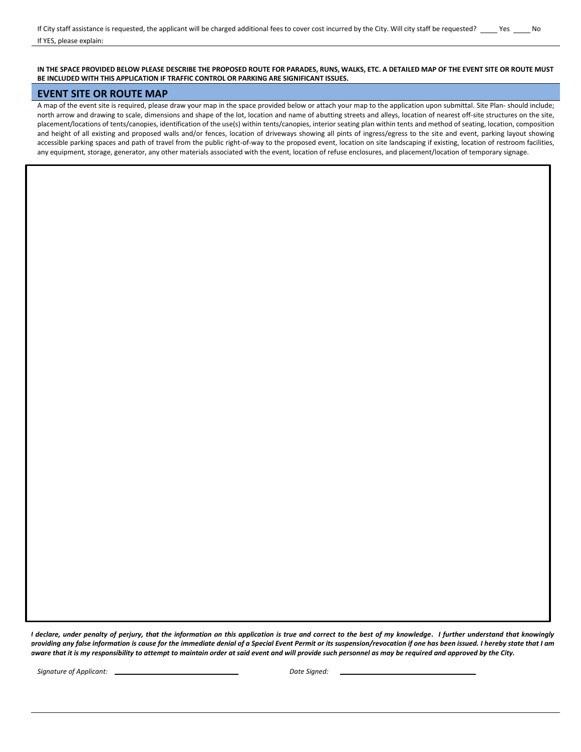#### **IN THE SPACE PROVIDED BELOW PLEASE DESCRIBE THE PROPOSED ROUTE FOR PARADES, RUNS, WALKS, ETC. A DETAILED MAP OF THE EVENT SITE OR ROUTE MUST BE INCLUDED WITH THIS APPLICATION IF TRAFFIC CONTROL OR PARKING ARE SIGNIFICANT ISSUES.**

## **EVENT SITE OR ROUTE MAP**

A map of the event site is required, please draw your map in the space provided below or attach your map to the application upon submittal. Site Plan- should include; north arrow and drawing to scale, dimensions and shape of the lot, location and name of abutting streets and alleys, location of nearest off-site structures on the site, placement/locations of tents/canopies, identification of the use(s) within tents/canopies, interior seating plan within tents and method of seating, location, composition and height of all existing and proposed walls and/or fences, location of driveways showing all pints of ingress/egress to the site and event, parking layout showing accessible parking spaces and path of travel from the public right-of-way to the proposed event, location on site landscaping if existing, location of restroom facilities, any equipment, storage, generator, any other materials associated with the event, location of refuse enclosures, and placement/location of temporary signage.

*I declare, under penalty of perjury, that the information on this application is true and correct to the best of my knowledge. I further understand that knowingly providing any false information is cause for the immediate denial of a Special Event Permit or its suspension/revocation if one has been issued. I hereby state that I am aware that it is my responsibility to attempt to maintain order at said event and will provide such personnel as may be required and approved by the City.*

**Signature of Applicant:**  $\qquad \qquad$  Date Signed: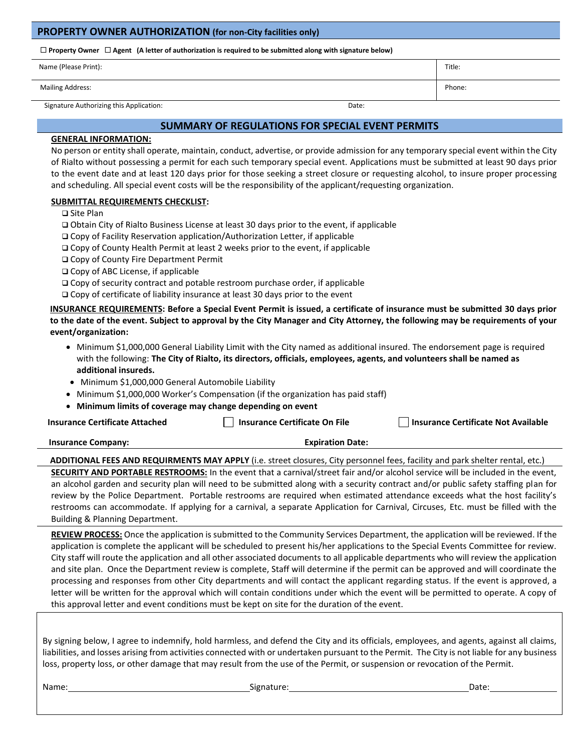## **PROPERTY OWNER AUTHORIZATION (for non-City facilities only)**

**Property Owner Agent (A letter of authorization is required to be submitted along with signature below)**

| Name (Please Print):    | Title: |
|-------------------------|--------|
| <b>Mailing Address:</b> | Phone: |

## Signature Authorizing this Application: Date: Date: Date: Date: Date: Date: Date: Date: Date: Date: Date: Date: Date: Date: Date: Date: Date: Date: Date: Date: Date: Date: Date: Date: Date: Date: Date: Date: Date: Date: Da

### **SUMMARY OF REGULATIONS FOR SPECIAL EVENT PERMITS**

## **GENERAL INFORMATION:**

No person or entity shall operate, maintain, conduct, advertise, or provide admission for any temporary special event within the City of Rialto without possessing a permit for each such temporary special event. Applications must be submitted at least 90 days prior to the event date and at least 120 days prior for those seeking a street closure or requesting alcohol, to insure proper processing and scheduling. All special event costs will be the responsibility of the applicant/requesting organization.

## **SUBMITTAL REQUIREMENTS CHECKLIST:**

❑ Site Plan

❑ Obtain City of Rialto Business License at least 30 days prior to the event, if applicable

❑ Copy of Facility Reservation application/Authorization Letter, if applicable

❑ Copy of County Health Permit at least 2 weeks prior to the event, if applicable

❑ Copy of County Fire Department Permit

❑ Copy of ABC License, if applicable

❑ Copy of security contract and potable restroom purchase order, if applicable

❑ Copy of certificate of liability insurance at least 30 days prior to the event

**INSURANCE REQUIREMENTS: Before a Special Event Permit is issued, a certificate of insurance must be submitted 30 days prior to the date of the event. Subject to approval by the City Manager and City Attorney, the following may be requirements of your event/organization:**

- Minimum \$1,000,000 General Liability Limit with the City named as additional insured. The endorsement page is required with the following: **The City of Rialto, its directors, officials, employees, agents, and volunteers shall be named as additional insureds.**
- Minimum \$1,000,000 General Automobile Liability
- Minimum \$1,000,000 Worker's Compensation (if the organization has paid staff)

• **Minimum limits of coverage may change depending on event**

**Insurance Certificate Attached Insurance Certificate On File Insurance Certificate Not Available**

**Insurance Company: Expiration Date:**

**ADDITIONAL FEES AND REQUIRMENTS MAY APPLY** (i.e. street closures, City personnel fees, facility and park shelter rental, etc.) **SECURITY AND PORTABLE RESTROOMS:** In the event that a carnival/street fair and/or alcohol service will be included in the event, an alcohol garden and security plan will need to be submitted along with a security contract and/or public safety staffing plan for review by the Police Department. Portable restrooms are required when estimated attendance exceeds what the host facility's restrooms can accommodate. If applying for a carnival, a separate Application for Carnival, Circuses, Etc. must be filled with the Building & Planning Department.

**REVIEW PROCESS:** Once the application is submitted to the Community Services Department, the application will be reviewed. If the application is complete the applicant will be scheduled to present his/her applications to the Special Events Committee for review. City staff will route the application and all other associated documents to all applicable departments who will review the application and site plan. Once the Department review is complete, Staff will determine if the permit can be approved and will coordinate the processing and responses from other City departments and will contact the applicant regarding status. If the event is approved, a letter will be written for the approval which will contain conditions under which the event will be permitted to operate. A copy of this approval letter and event conditions must be kept on site for the duration of the event.

By signing below, I agree to indemnify, hold harmless, and defend the City and its officials, employees, and agents, against all claims, liabilities, and losses arising from activities connected with or undertaken pursuant to the Permit. The City is not liable for any business loss, property loss, or other damage that may result from the use of the Permit, or suspension or revocation of the Permit.

Name: Signature: Date: